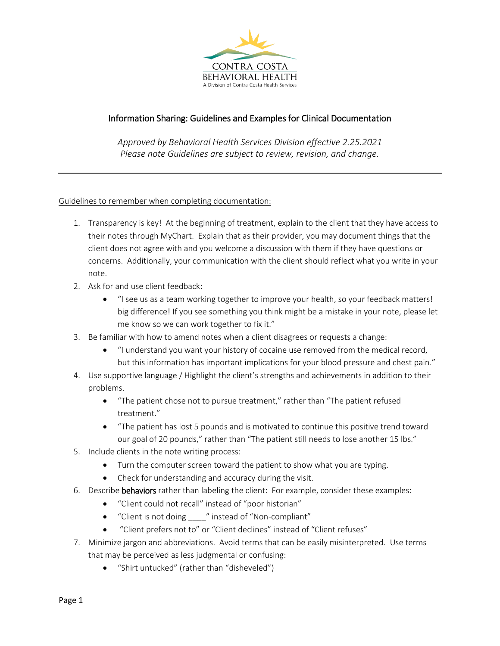

# Information Sharing: Guidelines and Examples for Clinical Documentation

*Approved by Behavioral Health Services Division effective 2.25.2021 Please note Guidelines are subject to review, revision, and change.* 

## Guidelines to remember when completing documentation:

- 1. Transparency is key! At the beginning of treatment, explain to the client that they have access to their notes through MyChart. Explain that as their provider, you may document things that the client does not agree with and you welcome a discussion with them if they have questions or concerns. Additionally, your communication with the client should reflect what you write in your note.
- 2. Ask for and use client feedback:
	- "I see us as a team working together to improve your health, so your feedback matters! big difference! If you see something you think might be a mistake in your note, please let me know so we can work together to fix it."
- 3. Be familiar with how to amend notes when a client disagrees or requests a change:
	- "I understand you want your history of cocaine use removed from the medical record, but this information has important implications for your blood pressure and chest pain."
- 4. Use supportive language / Highlight the client's strengths and achievements in addition to their problems.
	- "The patient chose not to pursue treatment," rather than "The patient refused treatment."
	- "The patient has lost 5 pounds and is motivated to continue this positive trend toward our goal of 20 pounds," rather than "The patient still needs to lose another 15 lbs."
- 5. Include clients in the note writing process:
	- Turn the computer screen toward the patient to show what you are typing.
	- Check for understanding and accuracy during the visit.
- 6. Describe behaviors rather than labeling the client: For example, consider these examples:
	- "Client could not recall" instead of "poor historian"
	- "Client is not doing \_\_\_\_" instead of "Non-compliant"
	- "Client prefers not to" or "Client declines" instead of "Client refuses"
- 7. Minimize jargon and abbreviations. Avoid terms that can be easily misinterpreted. Use terms that may be perceived as less judgmental or confusing:
	- "Shirt untucked" (rather than "disheveled")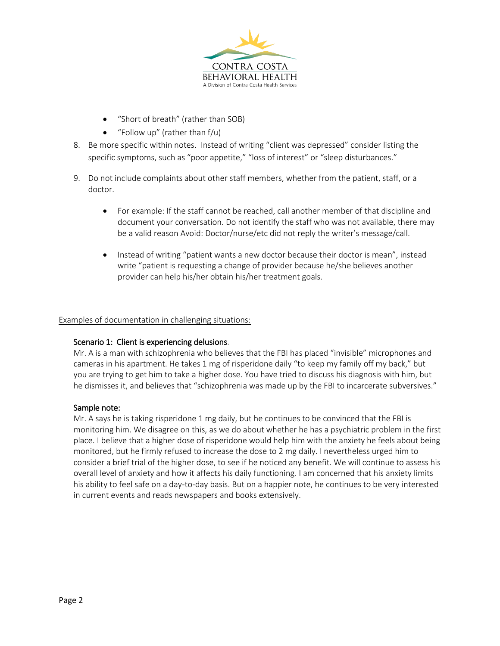

- "Short of breath" (rather than SOB)
- "Follow up" (rather than f/u)
- 8. Be more specific within notes. Instead of writing "client was depressed" consider listing the specific symptoms, such as "poor appetite," "loss of interest" or "sleep disturbances."
- 9. Do not include complaints about other staff members, whether from the patient, staff, or a doctor.
	- For example: If the staff cannot be reached, call another member of that discipline and document your conversation. Do not identify the staff who was not available, there may be a valid reason Avoid: Doctor/nurse/etc did not reply the writer's message/call.
	- Instead of writing "patient wants a new doctor because their doctor is mean", instead write "patient is requesting a change of provider because he/she believes another provider can help his/her obtain his/her treatment goals.

#### Examples of documentation in challenging situations:

#### Scenario 1: Client is experiencing delusions.

Mr. A is a man with schizophrenia who believes that the FBI has placed "invisible" microphones and cameras in his apartment. He takes 1 mg of risperidone daily "to keep my family off my back," but you are trying to get him to take a higher dose. You have tried to discuss his diagnosis with him, but he dismisses it, and believes that "schizophrenia was made up by the FBI to incarcerate subversives."

#### Sample note:

Mr. A says he is taking risperidone 1 mg daily, but he continues to be convinced that the FBI is monitoring him. We disagree on this, as we do about whether he has a psychiatric problem in the first place. I believe that a higher dose of risperidone would help him with the anxiety he feels about being monitored, but he firmly refused to increase the dose to 2 mg daily. I nevertheless urged him to consider a brief trial of the higher dose, to see if he noticed any benefit. We will continue to assess his overall level of anxiety and how it affects his daily functioning. I am concerned that his anxiety limits his ability to feel safe on a day-to-day basis. But on a happier note, he continues to be very interested in current events and reads newspapers and books extensively.